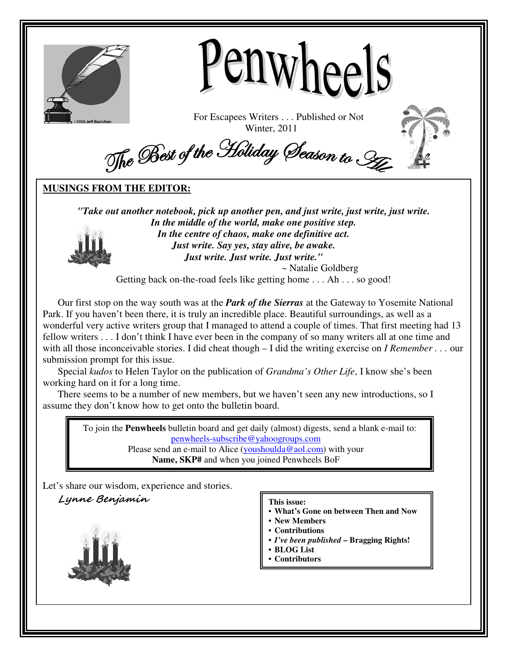



For Escapees Writers . . . Published or Not Winter, 2011



The Best of the Holiday Season to Ste

## **MUSINGS FROM THE EDITOR:**

*"Take out another notebook, pick up another pen, and just write, just write, just write. In the middle of the world, make one positive step. In the centre of chaos, make one definitive act. Just write. Say yes, stay alive, be awake. Just write. Just write. Just write."* 

~ Natalie Goldberg

Getting back on-the-road feels like getting home . . . Ah . . . so good!

Our first stop on the way south was at the *Park of the Sierras* at the Gateway to Yosemite National Park. If you haven't been there, it is truly an incredible place. Beautiful surroundings, as well as a wonderful very active writers group that I managed to attend a couple of times. That first meeting had 13 fellow writers . . . I don't think I have ever been in the company of so many writers all at one time and with all those inconceivable stories. I did cheat though – I did the writing exercise on *I Remember . . .* our submission prompt for this issue.

Special *kudos* to Helen Taylor on the publication of *Grandma's Other Life*, I know she's been working hard on it for a long time.

There seems to be a number of new members, but we haven't seen any new introductions, so I assume they don't know how to get onto the bulletin board.

> To join the **Penwheels** bulletin board and get daily (almost) digests, send a blank e-mail to: penwheels-subscribe@yahoogroups.com

Please send an e-mail to Alice (youshoulda@aol.com) with your **Name, SKP#** and when you joined Penwheels BoF

Let's share our wisdom, experience and stories.

Lynne Benjamin



### **This issue:**

- **What's Gone on between Then and Now**
- **New Members**
- **Contributions**
- *I've been published* **Bragging Rights!**
- **BLOG List**
- **Contributors**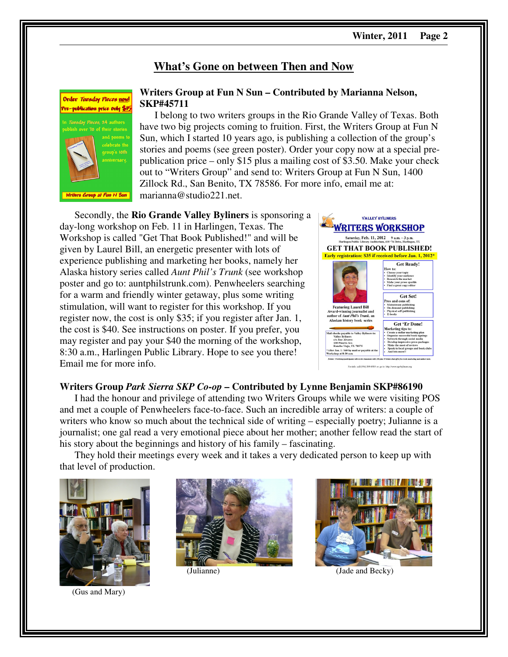## **What's Gone on between Then and Now**



## **Writers Group at Fun N Sun – Contributed by Marianna Nelson, SKP#45711**

I belong to two writers groups in the Rio Grande Valley of Texas. Both have two big projects coming to fruition. First, the Writers Group at Fun N Sun, which I started 10 years ago, is publishing a collection of the group's stories and poems (see green poster). Order your copy now at a special prepublication price – only \$15 plus a mailing cost of \$3.50. Make your check out to "Writers Group" and send to: Writers Group at Fun N Sun, 1400 Zillock Rd., San Benito, TX 78586. For more info, email me at: marianna@studio221.net.

Secondly, the **Rio Grande Valley Byliners** is sponsoring a day-long workshop on Feb. 11 in Harlingen, Texas. The Workshop is called "Get That Book Published!" and will be given by Laurel Bill, an energetic presenter with lots of experience publishing and marketing her books, namely her Alaska history series called *Aunt Phil's Trunk* (see workshop poster and go to: auntphilstrunk.com). Penwheelers searching for a warm and friendly winter getaway, plus some writing stimulation, will want to register for this workshop. If you register now, the cost is only \$35; if you register after Jan. 1, the cost is \$40. See instructions on poster. If you prefer, you may register and pay your \$40 the morning of the workshop, 8:30 a.m., Harlingen Public Library. Hope to see you there! Email me for more info.



## **Writers Group** *Park Sierra SKP Co-op* **– Contributed by Lynne Benjamin SKP#86190**

I had the honour and privilege of attending two Writers Groups while we were visiting POS and met a couple of Penwheelers face-to-face. Such an incredible array of writers: a couple of writers who know so much about the technical side of writing – especially poetry; Julianne is a journalist; one gal read a very emotional piece about her mother; another fellow read the start of his story about the beginnings and history of his family – fascinating.

They hold their meetings every week and it takes a very dedicated person to keep up with that level of production.



(Gus and Mary)





(Julianne) (Jade and Becky)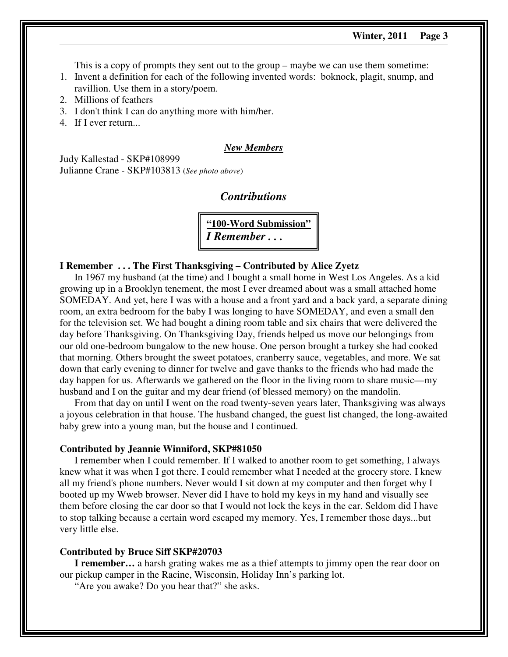This is a copy of prompts they sent out to the group – maybe we can use them sometime:

- 1. Invent a definition for each of the following invented words: boknock, plagit, snump, and ravillion. Use them in a story/poem.
- 2. Millions of feathers
- 3. I don't think I can do anything more with him/her.
- 4. If I ever return...

## *New Members*

Judy Kallestad - SKP#108999 Julianne Crane - SKP#103813 (*See photo above*)

## *Contributions*

**"100-Word Submission"**  *I Remember . . .* 

### **I Remember . . . The First Thanksgiving – Contributed by Alice Zyetz**

In 1967 my husband (at the time) and I bought a small home in West Los Angeles. As a kid growing up in a Brooklyn tenement, the most I ever dreamed about was a small attached home SOMEDAY. And yet, here I was with a house and a front yard and a back yard, a separate dining room, an extra bedroom for the baby I was longing to have SOMEDAY, and even a small den for the television set. We had bought a dining room table and six chairs that were delivered the day before Thanksgiving. On Thanksgiving Day, friends helped us move our belongings from our old one-bedroom bungalow to the new house. One person brought a turkey she had cooked that morning. Others brought the sweet potatoes, cranberry sauce, vegetables, and more. We sat down that early evening to dinner for twelve and gave thanks to the friends who had made the day happen for us. Afterwards we gathered on the floor in the living room to share music—my husband and I on the guitar and my dear friend (of blessed memory) on the mandolin.

From that day on until I went on the road twenty-seven years later, Thanksgiving was always a joyous celebration in that house. The husband changed, the guest list changed, the long-awaited baby grew into a young man, but the house and I continued.

### **Contributed by Jeannie Winniford, SKP#81050**

I remember when I could remember. If I walked to another room to get something, I always knew what it was when I got there. I could remember what I needed at the grocery store. I knew all my friend's phone numbers. Never would I sit down at my computer and then forget why I booted up my Wweb browser. Never did I have to hold my keys in my hand and visually see them before closing the car door so that I would not lock the keys in the car. Seldom did I have to stop talking because a certain word escaped my memory. Yes, I remember those days...but very little else.

## **Contributed by Bruce Siff SKP#20703**

**I remember…** a harsh grating wakes me as a thief attempts to jimmy open the rear door on our pickup camper in the Racine, Wisconsin, Holiday Inn's parking lot.

"Are you awake? Do you hear that?" she asks.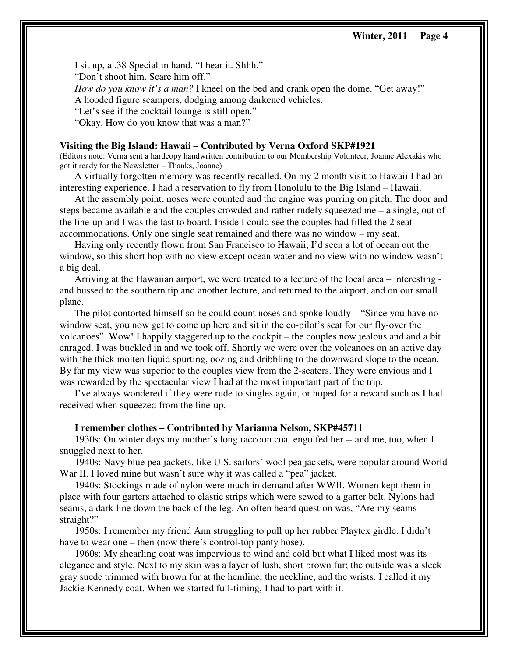I sit up, a .38 Special in hand. "I hear it. Shhh." "Don't shoot him. Scare him off." *How do you know it's a man?* I kneel on the bed and crank open the dome. "Get away!" A hooded figure scampers, dodging among darkened vehicles. "Let's see if the cocktail lounge is still open." "Okay. How do you know that was a man?"

### **Visiting the Big Island: Hawaii – Contributed by Verna Oxford SKP#1921**

(Editors note: Verna sent a hardcopy handwritten contribution to our Membership Volunteer, Joanne Alexakis who got it ready for the Newsletter – Thanks, Joanne)

A virtually forgotten memory was recently recalled. On my 2 month visit to Hawaii I had an interesting experience. I had a reservation to fly from Honolulu to the Big Island – Hawaii.

At the assembly point, noses were counted and the engine was purring on pitch. The door and steps became available and the couples crowded and rather rudely squeezed me – a single, out of the line-up and I was the last to board. Inside I could see the couples had filled the 2 seat accommodations. Only one single seat remained and there was no window – my seat.

Having only recently flown from San Francisco to Hawaii, I'd seen a lot of ocean out the window, so this short hop with no view except ocean water and no view with no window wasn't a big deal.

Arriving at the Hawaiian airport, we were treated to a lecture of the local area – interesting and bussed to the southern tip and another lecture, and returned to the airport, and on our small plane.

The pilot contorted himself so he could count noses and spoke loudly – "Since you have no window seat, you now get to come up here and sit in the co-pilot's seat for our fly-over the volcanoes". Wow! I happily staggered up to the cockpit – the couples now jealous and and a bit enraged. I was buckled in and we took off. Shortly we were over the volcanoes on an active day with the thick molten liquid spurting, oozing and dribbling to the downward slope to the ocean. By far my view was superior to the couples view from the 2-seaters. They were envious and I was rewarded by the spectacular view I had at the most important part of the trip.

I've always wondered if they were rude to singles again, or hoped for a reward such as I had received when squeezed from the line-up.

### **I remember clothes – Contributed by Marianna Nelson, SKP#45711**

1930s: On winter days my mother's long raccoon coat engulfed her -- and me, too, when I snuggled next to her.

1940s: Navy blue pea jackets, like U.S. sailors' wool pea jackets, were popular around World War II. I loved mine but wasn't sure why it was called a "pea" jacket.

1940s: Stockings made of nylon were much in demand after WWII. Women kept them in place with four garters attached to elastic strips which were sewed to a garter belt. Nylons had seams, a dark line down the back of the leg. An often heard question was, "Are my seams straight?"

1950s: I remember my friend Ann struggling to pull up her rubber Playtex girdle. I didn't have to wear one – then (now there's control-top panty hose).

1960s: My shearling coat was impervious to wind and cold but what I liked most was its elegance and style. Next to my skin was a layer of lush, short brown fur; the outside was a sleek gray suede trimmed with brown fur at the hemline, the neckline, and the wrists. I called it my Jackie Kennedy coat. When we started full-timing, I had to part with it.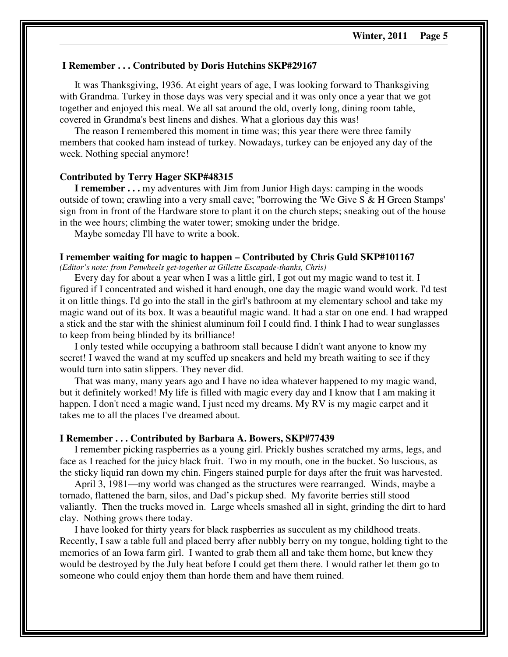## **I Remember . . . Contributed by Doris Hutchins SKP#29167**

It was Thanksgiving, 1936. At eight years of age, I was looking forward to Thanksgiving with Grandma. Turkey in those days was very special and it was only once a year that we got together and enjoyed this meal. We all sat around the old, overly long, dining room table, covered in Grandma's best linens and dishes. What a glorious day this was!

The reason I remembered this moment in time was; this year there were three family members that cooked ham instead of turkey. Nowadays, turkey can be enjoyed any day of the week. Nothing special anymore!

### **Contributed by Terry Hager SKP#48315**

**I remember...** my adventures with Jim from Junior High days: camping in the woods outside of town; crawling into a very small cave; "borrowing the 'We Give S & H Green Stamps' sign from in front of the Hardware store to plant it on the church steps; sneaking out of the house in the wee hours; climbing the water tower; smoking under the bridge.

Maybe someday I'll have to write a book.

## **I remember waiting for magic to happen – Contributed by Chris Guld SKP#101167**

*(Editor's note: from Penwheels get-together at Gillette Escapade-thanks, Chris)* 

Every day for about a year when I was a little girl, I got out my magic wand to test it. I figured if I concentrated and wished it hard enough, one day the magic wand would work. I'd test it on little things. I'd go into the stall in the girl's bathroom at my elementary school and take my magic wand out of its box. It was a beautiful magic wand. It had a star on one end. I had wrapped a stick and the star with the shiniest aluminum foil I could find. I think I had to wear sunglasses to keep from being blinded by its brilliance!

I only tested while occupying a bathroom stall because I didn't want anyone to know my secret! I waved the wand at my scuffed up sneakers and held my breath waiting to see if they would turn into satin slippers. They never did.

That was many, many years ago and I have no idea whatever happened to my magic wand, but it definitely worked! My life is filled with magic every day and I know that I am making it happen. I don't need a magic wand, I just need my dreams. My RV is my magic carpet and it takes me to all the places I've dreamed about.

### **I Remember . . . Contributed by Barbara A. Bowers, SKP#77439**

I remember picking raspberries as a young girl. Prickly bushes scratched my arms, legs, and face as I reached for the juicy black fruit. Two in my mouth, one in the bucket. So luscious, as the sticky liquid ran down my chin. Fingers stained purple for days after the fruit was harvested.

April 3, 1981—my world was changed as the structures were rearranged. Winds, maybe a tornado, flattened the barn, silos, and Dad's pickup shed. My favorite berries still stood valiantly. Then the trucks moved in. Large wheels smashed all in sight, grinding the dirt to hard clay. Nothing grows there today.

I have looked for thirty years for black raspberries as succulent as my childhood treats. Recently, I saw a table full and placed berry after nubbly berry on my tongue, holding tight to the memories of an Iowa farm girl. I wanted to grab them all and take them home, but knew they would be destroyed by the July heat before I could get them there. I would rather let them go to someone who could enjoy them than horde them and have them ruined.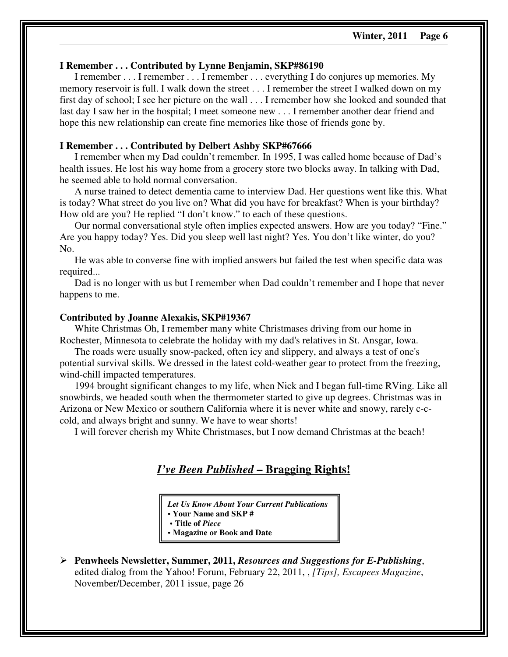### **I Remember . . . Contributed by Lynne Benjamin, SKP#86190**

I remember . . . I remember . . . I remember . . . everything I do conjures up memories. My memory reservoir is full. I walk down the street . . . I remember the street I walked down on my first day of school; I see her picture on the wall . . . I remember how she looked and sounded that last day I saw her in the hospital; I meet someone new . . . I remember another dear friend and hope this new relationship can create fine memories like those of friends gone by.

## **I Remember . . . Contributed by Delbert Ashby SKP#67666**

I remember when my Dad couldn't remember. In 1995, I was called home because of Dad's health issues. He lost his way home from a grocery store two blocks away. In talking with Dad, he seemed able to hold normal conversation.

A nurse trained to detect dementia came to interview Dad. Her questions went like this. What is today? What street do you live on? What did you have for breakfast? When is your birthday? How old are you? He replied "I don't know." to each of these questions.

Our normal conversational style often implies expected answers. How are you today? "Fine." Are you happy today? Yes. Did you sleep well last night? Yes. You don't like winter, do you? No.

He was able to converse fine with implied answers but failed the test when specific data was required...

Dad is no longer with us but I remember when Dad couldn't remember and I hope that never happens to me.

### **Contributed by Joanne Alexakis, SKP#19367**

White Christmas Oh, I remember many white Christmases driving from our home in Rochester, Minnesota to celebrate the holiday with my dad's relatives in St. Ansgar, Iowa.

The roads were usually snow-packed, often icy and slippery, and always a test of one's potential survival skills. We dressed in the latest cold-weather gear to protect from the freezing, wind-chill impacted temperatures.

1994 brought significant changes to my life, when Nick and I began full-time RVing. Like all snowbirds, we headed south when the thermometer started to give up degrees. Christmas was in Arizona or New Mexico or southern California where it is never white and snowy, rarely c-ccold, and always bright and sunny. We have to wear shorts!

I will forever cherish my White Christmases, but I now demand Christmas at the beach!

## *I've Been Published* **– Bragging Rights!**

*Let Us Know About Your Current Publications*  **• Your Name and SKP #** 

**• Title of** *Piece*

**• Magazine or Book and Date** 

 **Penwheels Newsletter, Summer, 2011,** *Resources and Suggestions for E-Publishing*, edited dialog from the Yahoo! Forum, February 22, 2011, , *[Tips], Escapees Magazine*, November/December, 2011 issue, page 26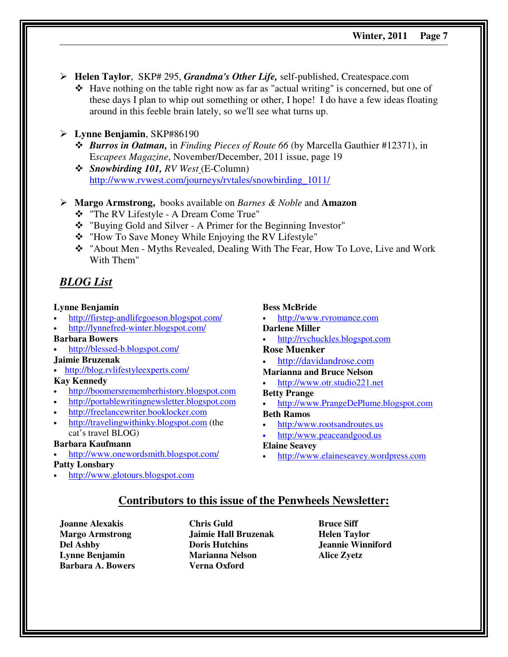- **Helen Taylor**, SKP# 295, *Grandma's Other Life,* self-published, Createspace.com
	- Have nothing on the table right now as far as "actual writing" is concerned, but one of these days I plan to whip out something or other, I hope! I do have a few ideas floating around in this feeble brain lately, so we'll see what turns up.
- **Lynne Benjamin**, SKP#86190
	- *Burros in Oatman,* in *Finding Pieces of Route 66* (by Marcella Gauthier #12371), in E*scapees Magazine*, November/December, 2011 issue, page 19
	- *Snowbirding 101, RV West* (E-Column) http://www.rvwest.com/journeys/rvtales/snowbirding\_1011/
- **Margo Armstrong,** books available on *Barnes & Noble* and **Amazon**
	- "The RV Lifestyle A Dream Come True"
	- "Buying Gold and Silver A Primer for the Beginning Investor"
	- \* "How To Save Money While Enjoying the RV Lifestyle"
	- \* "About Men Myths Revealed, Dealing With The Fear, How To Love, Live and Work With Them"

## *BLOG List*

## **Lynne Benjamin**

- http://firstep-andlifegoeson.blogspot.com/
- http://lynnefred-winter.blogspot.com/
- **Barbara Bowers**
- http://blessed-b.blogspot.com/

## **Jaimie Bruzenak**

• http://blog.rvlifestyleexperts.com/

## **Kay Kennedy**

- http://boomersrememberhistory.blogspot.com
- http://portablewritingnewsletter.blogspot.com
- http://freelancewriter.booklocker.com
- http://travelingwithinky.blogspot.com (the cat's travel BLOG)

## **Barbara Kaufmann**

• http://www.onewordsmith.blogspot.com/

## **Patty Lonsbary**

• http://www.glotours.blogspot.com

## **Bess McBride**

• http://www.rvromance.com

## **Darlene Miller**

• http://rvchuckles.blogspot.com

### **Rose Muenker**

• http://davidandrose.com

## **Marianna and Bruce Nelson**

• http://www.otr.studio221.net

## **Betty Prange**

• http://www.PrangeDePlume.blogspot.com

## **Beth Ramos**

- http:/www.rootsandroutes.us
- http:/www.peaceandgood.us

## **Elaine Seavey**

• http://www.elaineseavey.wordpress.com

## **Contributors to this issue of the Penwheels Newsletter:**

**Joanne Alexakis Margo Armstrong Del Ashby Lynne Benjamin Barbara A. Bowers** 

**Chris Guld Jaimie Hall Bruzenak Doris Hutchins Marianna Nelson Verna Oxford** 

**Bruce Siff Helen Taylor Jeannie Winniford Alice Zyetz**